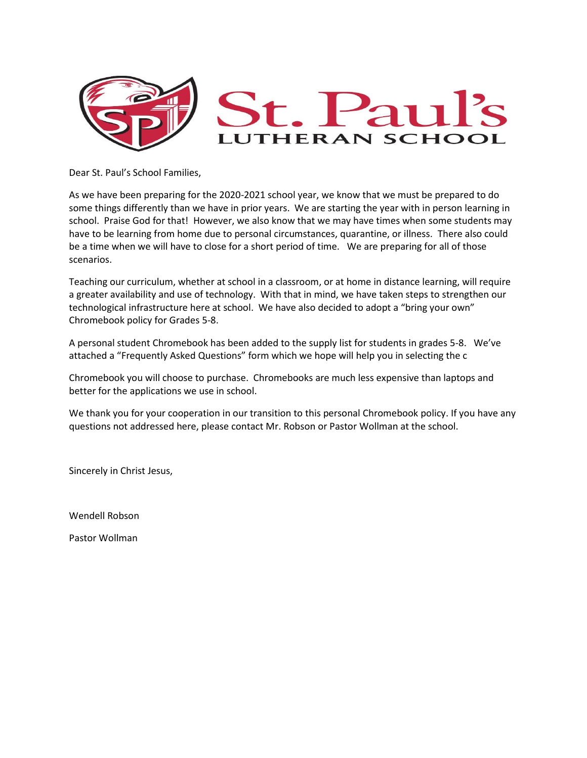

Dear St. Paul's School Families,

As we have been preparing for the 2020-2021 school year, we know that we must be prepared to do some things differently than we have in prior years. We are starting the year with in person learning in school. Praise God for that! However, we also know that we may have times when some students may have to be learning from home due to personal circumstances, quarantine, or illness. There also could be a time when we will have to close for a short period of time. We are preparing for all of those scenarios.

Teaching our curriculum, whether at school in a classroom, or at home in distance learning, will require a greater availability and use of technology. With that in mind, we have taken steps to strengthen our technological infrastructure here at school. We have also decided to adopt a "bring your own" Chromebook policy for Grades 5-8.

A personal student Chromebook has been added to the supply list for students in grades 5-8. We've attached a "Frequently Asked Questions" form which we hope will help you in selecting the c

Chromebook you will choose to purchase. Chromebooks are much less expensive than laptops and better for the applications we use in school.

We thank you for your cooperation in our transition to this personal Chromebook policy. If you have any questions not addressed here, please contact Mr. Robson or Pastor Wollman at the school.

Sincerely in Christ Jesus,

Wendell Robson

Pastor Wollman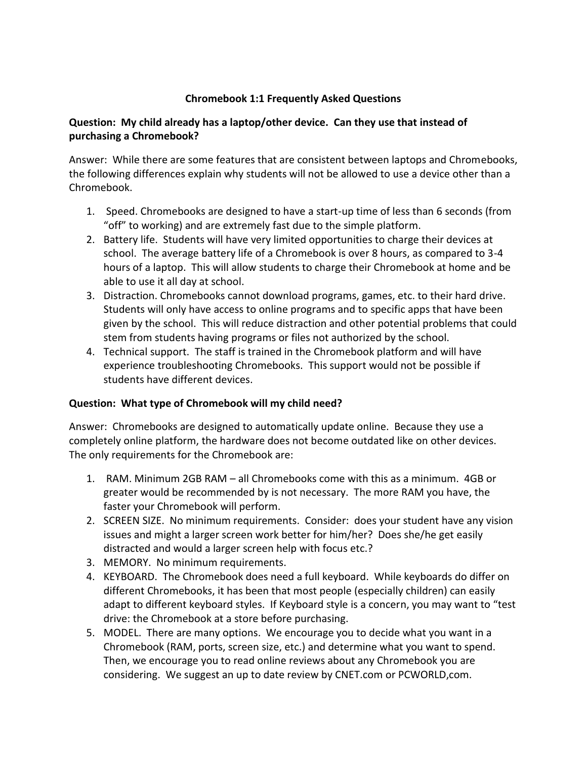## **Chromebook 1:1 Frequently Asked Questions**

## **Question: My child already has a laptop/other device. Can they use that instead of purchasing a Chromebook?**

Answer: While there are some features that are consistent between laptops and Chromebooks, the following differences explain why students will not be allowed to use a device other than a Chromebook.

- 1. Speed. Chromebooks are designed to have a start-up time of less than 6 seconds (from "off" to working) and are extremely fast due to the simple platform.
- 2. Battery life. Students will have very limited opportunities to charge their devices at school. The average battery life of a Chromebook is over 8 hours, as compared to 3-4 hours of a laptop. This will allow students to charge their Chromebook at home and be able to use it all day at school.
- 3. Distraction. Chromebooks cannot download programs, games, etc. to their hard drive. Students will only have access to online programs and to specific apps that have been given by the school. This will reduce distraction and other potential problems that could stem from students having programs or files not authorized by the school.
- 4. Technical support. The staff is trained in the Chromebook platform and will have experience troubleshooting Chromebooks. This support would not be possible if students have different devices.

## **Question: What type of Chromebook will my child need?**

Answer: Chromebooks are designed to automatically update online. Because they use a completely online platform, the hardware does not become outdated like on other devices. The only requirements for the Chromebook are:

- 1. RAM. Minimum 2GB RAM all Chromebooks come with this as a minimum. 4GB or greater would be recommended by is not necessary. The more RAM you have, the faster your Chromebook will perform.
- 2. SCREEN SIZE. No minimum requirements. Consider: does your student have any vision issues and might a larger screen work better for him/her? Does she/he get easily distracted and would a larger screen help with focus etc.?
- 3. MEMORY. No minimum requirements.
- 4. KEYBOARD. The Chromebook does need a full keyboard. While keyboards do differ on different Chromebooks, it has been that most people (especially children) can easily adapt to different keyboard styles. If Keyboard style is a concern, you may want to "test drive: the Chromebook at a store before purchasing.
- 5. MODEL. There are many options. We encourage you to decide what you want in a Chromebook (RAM, ports, screen size, etc.) and determine what you want to spend. Then, we encourage you to read online reviews about any Chromebook you are considering. We suggest an up to date review by CNET.com or PCWORLD,com.